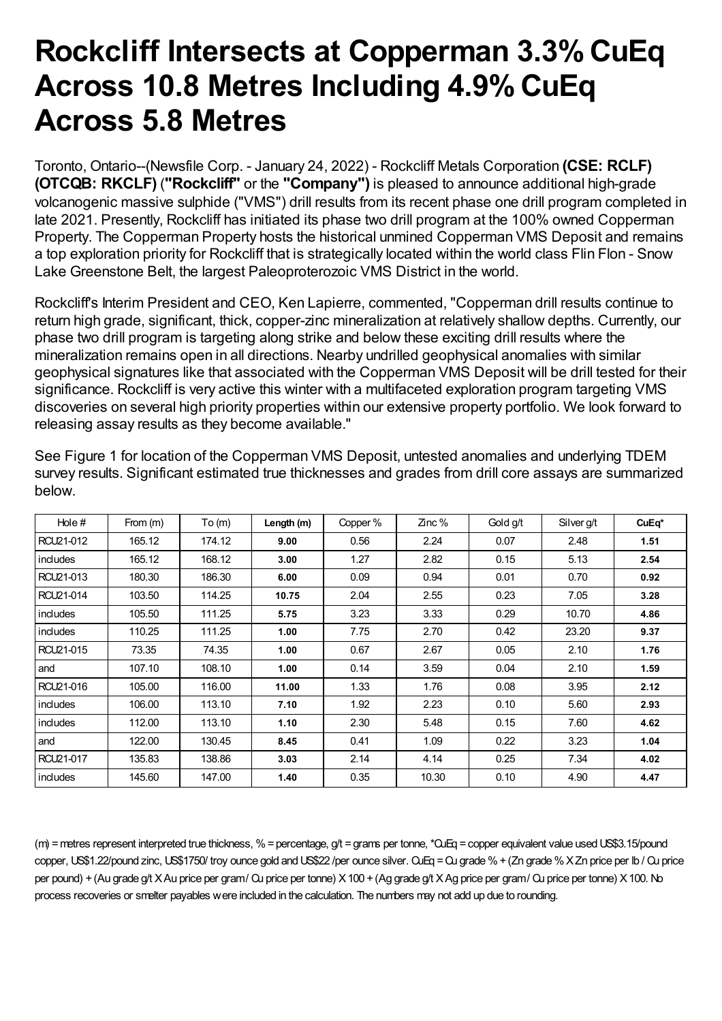## **Rockcliff Intersects at Copperman 3.3% CuEq Across 10.8 Metres Including 4.9%CuEq Across 5.8 Metres**

Toronto, Ontario--(Newsfile Corp. - January 24, 2022) - Rockcliff Metals Corporation **(CSE: RCLF) (OTCQB: RKCLF)** (**"Rockcliff"** or the **"Company")** is pleased to announce additional high-grade volcanogenic massive sulphide ("VMS") drill results from its recent phase one drill program completed in late 2021. Presently, Rockcliff has initiated its phase two drill program at the 100% owned Copperman Property. The Copperman Property hosts the historical unmined Copperman VMS Deposit and remains a top exploration priority for Rockcliff that is strategically located within the world class Flin Flon - Snow Lake Greenstone Belt, the largest Paleoproterozoic VMS District in the world.

Rockcliff's Interim President and CEO, Ken Lapierre, commented, "Copperman drill results continue to return high grade, significant, thick, copper-zinc mineralization at relatively shallow depths. Currently, our phase two drill program is targeting along strike and below these exciting drill results where the mineralization remains open in all directions. Nearby undrilled geophysical anomalies with similar geophysical signatures like that associated with the Copperman VMS Deposit will be drill tested for their significance. Rockcliff is very active this winter with a multifaceted exploration program targeting VMS discoveries on several high priority properties within our extensive property portfolio. We look forward to releasing assay results as they become available."

| Hole#     | From $(m)$ | To(m)  | Length (m) | Copper % | Zinc% | Gold g/t | Silver g/t | CuEq* |
|-----------|------------|--------|------------|----------|-------|----------|------------|-------|
| RCU21-012 | 165.12     | 174.12 | 9.00       | 0.56     | 2.24  | 0.07     | 2.48       | 1.51  |
| includes  | 165.12     | 168.12 | 3.00       | 1.27     | 2.82  | 0.15     | 5.13       | 2.54  |
| RCU21-013 | 180.30     | 186.30 | 6.00       | 0.09     | 0.94  | 0.01     | 0.70       | 0.92  |
| RCU21-014 | 103.50     | 114.25 | 10.75      | 2.04     | 2.55  | 0.23     | 7.05       | 3.28  |
| includes  | 105.50     | 111.25 | 5.75       | 3.23     | 3.33  | 0.29     | 10.70      | 4.86  |
| includes  | 110.25     | 111.25 | 1.00       | 7.75     | 2.70  | 0.42     | 23.20      | 9.37  |
| RCU21-015 | 73.35      | 74.35  | 1.00       | 0.67     | 2.67  | 0.05     | 2.10       | 1.76  |
| and       | 107.10     | 108.10 | 1.00       | 0.14     | 3.59  | 0.04     | 2.10       | 1.59  |
| RCU21-016 | 105.00     | 116.00 | 11.00      | 1.33     | 1.76  | 0.08     | 3.95       | 2.12  |
| includes  | 106.00     | 113.10 | 7.10       | 1.92     | 2.23  | 0.10     | 5.60       | 2.93  |
| includes  | 112.00     | 113.10 | 1.10       | 2.30     | 5.48  | 0.15     | 7.60       | 4.62  |
| and       | 122.00     | 130.45 | 8.45       | 0.41     | 1.09  | 0.22     | 3.23       | 1.04  |
| RCU21-017 | 135.83     | 138.86 | 3.03       | 2.14     | 4.14  | 0.25     | 7.34       | 4.02  |
| includes  | 145.60     | 147.00 | 1.40       | 0.35     | 10.30 | 0.10     | 4.90       | 4.47  |

See Figure 1 for location of the Copperman VMS Deposit, untested anomalies and underlying TDEM survey results. Significant estimated true thicknesses and grades from drill core assays are summarized below.

(m) =metres represent interpreted true thickness, %=percentage, g/t =grams per tonne, \*CuEq =copper equivalent value usedUS\$3.15/pound copper, US\$1.22/pound zinc, US\$1750/ troy ounce gold and US\$22 /per ounce silver. QuEq = Qu grade % + (Zn grade % X Zn price per lb / Qu price per pound) +(Au grade g/t XAu price per gram/ Cu price per tonne) X100 +(Ag grade g/t XAg price per gram/ Cu price per tonne) X100. No process recoveries or smelter payables were included in the calculation. The numbers may not add up due to rounding.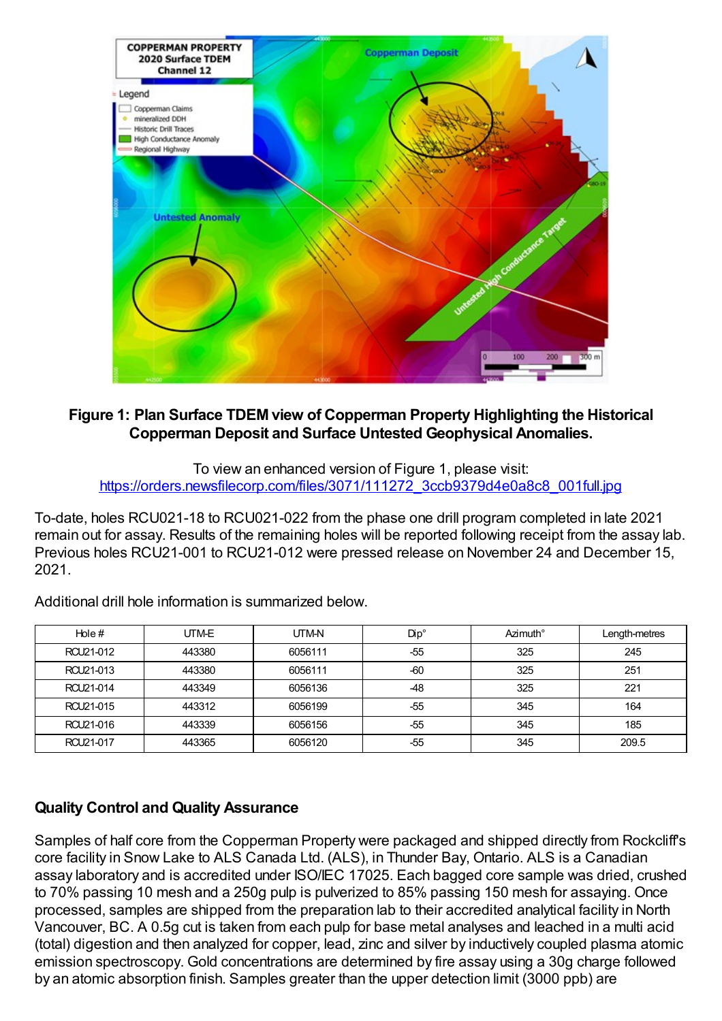

## **Figure 1: Plan Surface TDEM view of Copperman Property Highlighting the Historical Copperman Deposit and Surface Untested Geophysical Anomalies.**

To view an enhanced version of Figure 1, please visit: [https://orders.newsfilecorp.com/files/3071/111272\\_3ccb9379d4e0a8c8\\_001full.jpg](https://orders.newsfilecorp.com/files/3071/111272_3ccb9379d4e0a8c8_001full.jpg)

To-date, holes RCU021-18 to RCU021-022 from the phase one drill program completed in late 2021 remain out for assay. Results of the remaining holes will be reported following receipt from the assay lab. Previous holes RCU21-001 to RCU21-012 were pressed release on November 24 and December 15, 2021.

| Hole#     | UTM-E  | UTM-N   | $Dip^{\circ}$ | Azimuth° | Length-metres |
|-----------|--------|---------|---------------|----------|---------------|
| RCU21-012 | 443380 | 6056111 | $-55$         | 325      | 245           |
| RCU21-013 | 443380 | 6056111 | $-60$         | 325      | 251           |
| RCU21-014 | 443349 | 6056136 | $-48$         | 325      | 221           |
| RCU21-015 | 443312 | 6056199 | -55           | 345      | 164           |
| RCU21-016 | 443339 | 6056156 | $-55$         | 345      | 185           |
| RCU21-017 | 443365 | 6056120 | $-55$         | 345      | 209.5         |

Additional drill hole information is summarized below.

## **Quality Control and Quality Assurance**

Samples of half core from the Copperman Property were packaged and shipped directly from Rockcliff's core facility in Snow Lake to ALS Canada Ltd. (ALS), in Thunder Bay, Ontario. ALS is a Canadian assay laboratory and is accredited under ISO/IEC 17025. Each bagged core sample was dried, crushed to 70% passing 10 mesh and a 250g pulp is pulverized to 85% passing 150 mesh for assaying. Once processed, samples are shipped from the preparation lab to their accredited analytical facility in North Vancouver, BC. A 0.5g cut is taken from each pulp for base metal analyses and leached in a multi acid (total) digestion and then analyzed for copper, lead, zinc and silver by inductively coupled plasma atomic emission spectroscopy. Gold concentrations are determined by fire assay using a 30g charge followed by an atomic absorption finish. Samples greater than the upper detection limit (3000 ppb) are